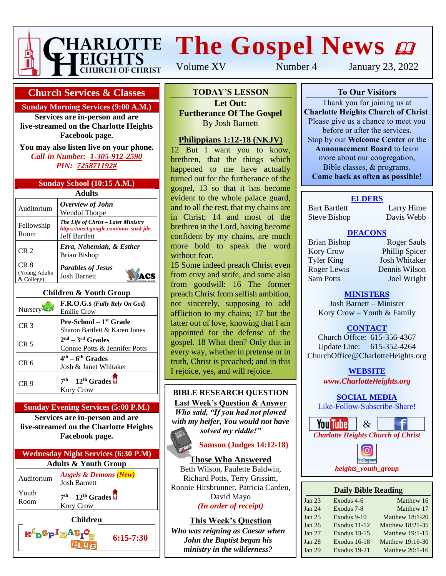

# **The Gospel News**  $\boldsymbol{\omega}$

Volume XV Number 4 January 23, 2022

### **Church Services & Classes**

#### **Sunday Morning Services (9:00 A.M.)**

**Services are in-person and are live-streamed on the Charlotte Heights Facebook page.**

**You may also listen live on your phone.** *Call-in Number: 1-305-912-2590 PIN: 725871192#*

|  | Sunday School (10:15 A.M.) |  |
|--|----------------------------|--|
|  |                            |  |

| Adults                                          |                                                                                                     |  |  |
|-------------------------------------------------|-----------------------------------------------------------------------------------------------------|--|--|
| Auditorium                                      | Overview of John<br><b>Wendol Thorpe</b>                                                            |  |  |
| Fellowship<br>Room                              | The Life of Christ – Later Ministry<br>https://meet.google.com/muz-snzd-jdo<br><b>Jeff Bartlett</b> |  |  |
| CR <sub>2</sub>                                 | Ezra, Nehemiah, & Esther<br>Brian Bishop                                                            |  |  |
| CR <sub>8</sub><br>(Young Adults)<br>& College) | <b>Parables of Jesus</b><br><b>Josh Barnett</b>                                                     |  |  |

#### **Children & Youth Group**

| Nursery <sup>3</sup> | F.R.O.G.s ( <i>Fully Rely On God</i> )<br><b>Emilie Crow</b>    |
|----------------------|-----------------------------------------------------------------|
| CR <sub>3</sub>      | <b>Pre-School</b> $-1st$ Grade<br>Sharon Bartlett & Karen Jones |
| CR <sub>5</sub>      | $2nd - 3rd$ Grades<br>Connie Potts & Jennifer Potts             |
| CR 6                 | $4th - 6th$ Grades<br>Josh & Janet Whitaker                     |
| CR 9                 | $7th - 12th$ Grades $\overline{u}$<br><b>Kory Crow</b>          |

#### **Sunday Evening Services (5:00 P.M.) Services are in-person and are live-streamed on the Charlotte Heights Facebook page.**

| $-$ week contracts.                        |                                                                    |  |  |
|--------------------------------------------|--------------------------------------------------------------------|--|--|
| <b>Wednesday Night Services (6:30 P.M)</b> |                                                                    |  |  |
| <b>Adults &amp; Youth Group</b>            |                                                                    |  |  |
| Auditorium                                 | <b>Angels &amp; Demons (New)</b><br><b>Josh Barnett</b>            |  |  |
| Youth<br>Room                              | $\frac{1}{7}$ <sup>th</sup> – 12 <sup>th</sup> Grades <sup>1</sup> |  |  |

**Children**

**R**bSplac

**6:15-7:30**

**To Our Visitors TODAY'S LESSON**

**Thank** *Let Out:* **Charlotte Eurtherance Of The Gospel Please a chance to meet the set of the meeting of the set of the set of the set of the set of the set of the set of the set of the set of the set of the set of the set of the set of the set of the set of the set of the se** before or after the services.

### **Philippians 1:12-18 (NKJV)**

12 But I want you to know, brethren, that the things which happened to me have actually turned out for the furtherance of the gospel, 13 so that it has become evident to the whole palace guard, and to all the rest, that my chains are in Christ; 14 and most of the brethren in the Lord, having become confident by my chains, are much more bold to speak the word without fear.

15 Some indeed preach Christ even from envy and strife, and some also from goodwill: 16 The former preach Christ from selfish ambition, not sincerely, supposing to add affliction to my chains; 17 but the latter out of love, knowing that I am appointed for the defense of the gospel. 18 What then? Only that in every way, whether in pretense or in truth, Christ is preached; and in this I rejoice, yes, and will rejoice.

## **BIBLE RESEARCH QUESTION**

**Last Week's Question & Answer** *Who said, "If you had not plowed with my heifer, You would not have* 



*solved my riddle!"*

**Samson (Judges 14:12-18)**

#### **Those Who Answered** Beth Wilson, Paulette Baldwin, Richard Potts, Terry Grissim, Ronnie Hirsbrunner, Patricia Carden, David Mayo *(In order of receipt)*

#### **This Week's Question** *Who was reigning as Caesar when John the Baptist began his ministry in the wilderness?*

## **To Our Visitors**

Thank you for joining us at **Charlotte Heights Church of Christ**. Please give us a chance to meet you before or after the services. Stop by our **Welcome Center** or the **Announcement Board** to learn more about our congregation, Bible classes, & programs. **Come back as often as possible!**

#### **ELDERS**

Bart Bartlett Larry Hime Steve Bishop Davis Webb

### **DEACONS**

| Brian Bishop      |
|-------------------|
| <b>Kory Crow</b>  |
| <b>Tyler King</b> |
| Roger Lewis       |
| <b>Sam Potts</b>  |

Roger Sauls Phillip Spicer Josh Whitaker Dennis Wilson Joel Wright

## **MINISTERS**

Josh Barnett – Minister Kory Crow – Youth & Family

## **CONTACT**

Church Office: 615-356-4367 Update Line: 615-352-4264 ChurchOffice@CharlotteHeights.org

> **Media Postings** *www.CharlotteHeights.org* **WEBSITE**

# **SOCIAL MEDIA**

**COURL MEDIA** Like-Follow-Subscribe-Share!





#### **Daily Bible Reading**

| Jan $23$      | Exodus 4-6          | Matthew 16             |
|---------------|---------------------|------------------------|
| Jan 24        | Exodus 7-8          | Matthew 17             |
| Jan $25$      | Exodus 9-10         | Matthew $18:1-20$      |
| Jan $26$      | <b>Exodus 11-12</b> | Matthew 18:21-35       |
| Jan 27        | Exodus 13-15        | <b>Matthew 19:1-15</b> |
| Jan 28        | <b>Exodus 16-18</b> | Matthew 19:16-30       |
| <b>Jan 29</b> | Exodus 19-21        | Matthew $20:1-16$      |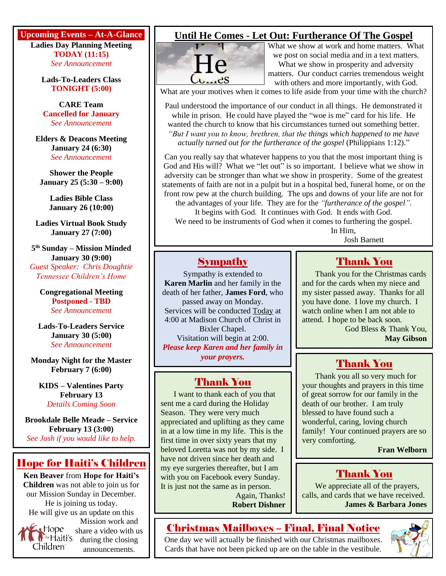**Upcoming Events – At-A-Glance Ladies Day Planning Meeting TODAY (11:15)** *See Announcement*

> **Lads-To-Leaders Class TONIGHT (5:00)**

**CARE Team Cancelled for January** *See Announcement*

**Elders & Deacons Meeting January 24 (6:30)** *See Announcement*

**Shower the People January 25 (5:30 – 9:00)**

> **Ladies Bible Class January 26 (10:00)**

**Ladies Virtual Book Study January 27 (7:00)**

**5 th Sunday – Mission Minded January 30 (9:00)** *Guest Speaker: Chris Doughtie Tennessee Children's Home*

**Congregational Meeting Postponed - TBD** *See Announcement*

**Lads-To-Leaders Service January 30 (5:00)** *See Announcement*

**Monday Night for the Master February 7 (6:00)**

**KIDS – Valentines Party February 13** *Details Coming Soon*

**Brookdale Belle Meade – Service February 13 (3:00)** *See Josh if you would like to help.*

## Hope for Haiti's Children

**Ken Beaver** from **Hope for Haiti's Children** was not able to join us for our Mission Sunday in December. He is joining us today. He will give us an update on this

**E** Hope Children<sup>.</sup>

Mission work and share a video with us  $\log_{10}$  share a set announcements.

## **Until He Comes - Let Out: Furtherance Of The Gospel**



What we show at work and home matters. What we post on social media and in a text matters. What we show in prosperity and adversity matters. Our conduct carries tremendous weight with others and more importantly, with God.

What are your motives when it comes to life aside from your time with the church?

Paul understood the importance of our conduct in all things. He demonstrated it while in prison. He could have played the "woe is me" card for his life. He wanted the church to know that his circumstances turned out something better. *"But I want you to know, brethren, that the things which happened to me have actually turned out for the furtherance of the gospel* (Philippians 1:12)."

Can you really say that whatever happens to you that the most important thing is God and His will? What we "let out" is so important. I believe what we show in adversity can be stronger than what we show in prosperity. Some of the greatest statements of faith are not in a pulpit but in a hospital bed, funeral home, or on the front row pew at the church building. The ups and downs of your life are not for the advantages of your life. They are for the *"furtherance of the gospel"*.

It begins with God. It continues with God. It ends with God. We need to be instruments of God when it comes to furthering the gospel.

> In Him, Josh Barnett

## **Sympathy**

Sympathy is extended to **Karen Marlin** and her family in the death of her father, **James Ford**, who passed away on Monday. Services will be conducted Today at 4:00 at Madison Church of Christ in Bixler Chapel. Visitation will begin at 2:00. *Please keep Karen and her family in your prayers.*

## Thank You

I want to thank each of you that sent me a card during the Holiday Season. They were very much appreciated and uplifting as they came in at a low time in my life. This is the first time in over sixty years that my beloved Loretta was not by my side. I have not driven since her death and my eye surgeries thereafter, but I am with you on Facebook every Sunday. It is just not the same as in person.

> Again, Thanks! **Robert Dishner**

## Christmas Mailboxes – Final, Final Notice

One day we will actually be finished with our Christmas mailboxes. Cards that have not been picked up are on the table in the vestibule.

## Thank You

Thank you for the Christmas cards and for the cards when my niece and my sister passed away. Thanks for all you have done. I love my church. I watch online when I am not able to attend. I hope to be back soon.

God Bless & Thank You, **May Gibson**

## Thank You

Thank you all so very much for your thoughts and prayers in this time of great sorrow for our family in the death of our brother. I am truly blessed to have found such a wonderful, caring, loving church family! Your continued prayers are so very comforting.

**Fran Welborn**

## Thank You

We appreciate all of the prayers, calls, and cards that we have received. **James & Barbara Jones**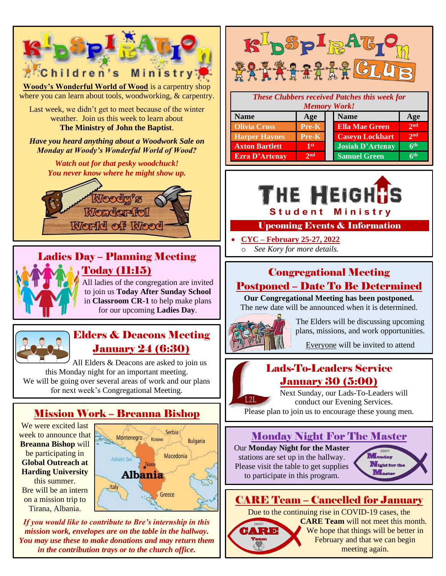